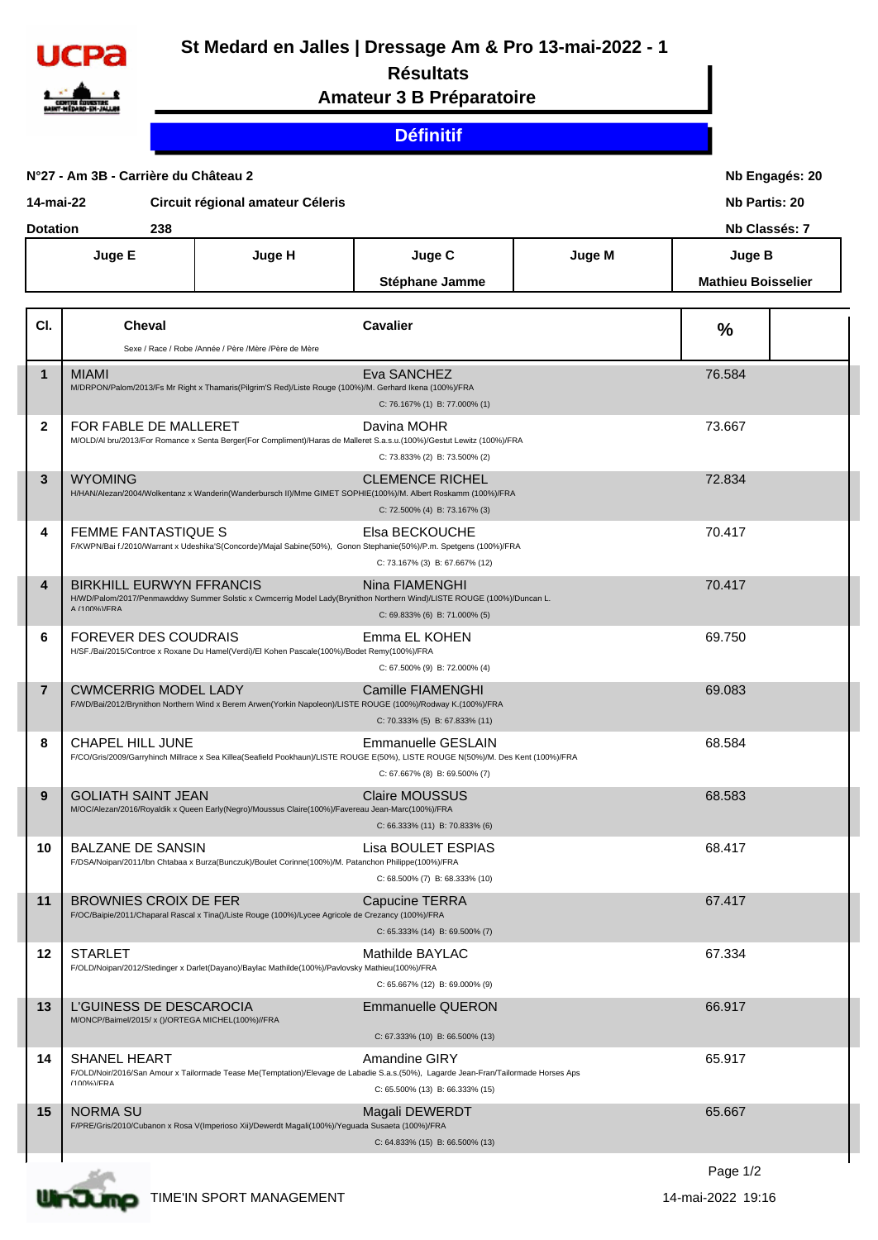

## **St Medard en Jalles | Dressage Am & Pro 13-mai-2022 - 1**

## **Résultats**

**Amateur 3 B Préparatoire**

## **Définitif**

| N°27 - Am 3B - Carrière du Château 2          |                                                                             |                                                                                                         |                                                                                                                                                                                                | Nb Engagés: 20<br><b>Nb Partis: 20</b> |                           |               |  |
|-----------------------------------------------|-----------------------------------------------------------------------------|---------------------------------------------------------------------------------------------------------|------------------------------------------------------------------------------------------------------------------------------------------------------------------------------------------------|----------------------------------------|---------------------------|---------------|--|
| Circuit régional amateur Céleris<br>14-mai-22 |                                                                             |                                                                                                         |                                                                                                                                                                                                |                                        |                           |               |  |
|                                               | <b>Dotation</b><br>238                                                      |                                                                                                         |                                                                                                                                                                                                |                                        |                           | Nb Classés: 7 |  |
|                                               | Juge E                                                                      | Juge H                                                                                                  | Juge C                                                                                                                                                                                         | Juge M                                 | <b>Juge B</b>             |               |  |
|                                               |                                                                             |                                                                                                         | Stéphane Jamme                                                                                                                                                                                 |                                        | <b>Mathieu Boisselier</b> |               |  |
|                                               |                                                                             |                                                                                                         |                                                                                                                                                                                                |                                        |                           |               |  |
| CI.                                           | <b>Cheval</b>                                                               |                                                                                                         | <b>Cavalier</b>                                                                                                                                                                                |                                        | $\frac{0}{0}$             |               |  |
|                                               |                                                                             | Sexe / Race / Robe /Année / Père /Mère /Père de Mère                                                    |                                                                                                                                                                                                |                                        |                           |               |  |
| $\mathbf 1$                                   | <b>MIAMI</b>                                                                | M/DRPON/Palom/2013/Fs Mr Right x Thamaris(Pilgrim'S Red)/Liste Rouge (100%)/M. Gerhard Ikena (100%)/FRA | Eva SANCHEZ<br>C: 76.167% (1) B: 77.000% (1)                                                                                                                                                   |                                        | 76.584                    |               |  |
| $\mathbf{2}$                                  | FOR FABLE DE MALLERET                                                       |                                                                                                         | Davina MOHR<br>M/OLD/Al bru/2013/For Romance x Senta Berger(For Compliment)/Haras de Malleret S.a.s.u.(100%)/Gestut Lewitz (100%)/FRA<br>C: 73.833% (2) B: 73.500% (2)                         |                                        | 73.667                    |               |  |
| $\overline{3}$                                | <b>WYOMING</b>                                                              |                                                                                                         | <b>CLEMENCE RICHEL</b><br>H/HAN/Alezan/2004/Wolkentanz x Wanderin(Wanderbursch II)/Mme GIMET SOPHIE(100%)/M. Albert Roskamm (100%)/FRA<br>C: 72.500% (4) B: 73.167% (3)                        |                                        | 72.834                    |               |  |
| 4                                             | FEMME FANTASTIQUE S                                                         |                                                                                                         | Elsa BECKOUCHE<br>F/KWPN/Bai f./2010/Warrant x Udeshika'S(Concorde)/Majal Sabine(50%), Gonon Stephanie(50%)/P.m. Spetgens (100%)/FRA<br>C: 73.167% (3) B: 67.667% (12)                         |                                        | 70.417                    |               |  |
| $\boldsymbol{4}$                              | <b>BIRKHILL EURWYN FFRANCIS</b><br>A (100%)/FRA                             |                                                                                                         | Nina FIAMENGHI<br>H/WD/Palom/2017/Penmawddwy Summer Solstic x Cwmcerrig Model Lady(Brynithon Northern Wind)/LISTE ROUGE (100%)/Duncan L.<br>C: 69.833% (6) B: 71.000% (5)                      |                                        | 70.417                    |               |  |
| 6                                             | <b>FOREVER DES COUDRAIS</b>                                                 | H/SF./Bai/2015/Controe x Roxane Du Hamel(Verdi)/El Kohen Pascale(100%)/Bodet Remy(100%)/FRA             | Emma EL KOHEN<br>C: 67.500% (9) B: 72.000% (4)                                                                                                                                                 |                                        | 69.750                    |               |  |
| $\overline{7}$                                | <b>CWMCERRIG MODEL LADY</b>                                                 |                                                                                                         | Camille FIAMENGHI<br>F/WD/Bai/2012/Brynithon Northern Wind x Berem Arwen(Yorkin Napoleon)/LISTE ROUGE (100%)/Rodway K.(100%)/FRA<br>C: 70.333% (5) B: 67.833% (11)                             |                                        | 69.083                    |               |  |
| 8                                             | CHAPEL HILL JUNE                                                            |                                                                                                         | <b>Emmanuelle GESLAIN</b><br>F/CO/Gris/2009/Garryhinch Millrace x Sea Killea(Seafield Pookhaun)/LISTE ROUGE E(50%), LISTE ROUGE N(50%)/M. Des Kent (100%)/FRA<br>C: 67.667% (8) B: 69.500% (7) |                                        | 68.584                    |               |  |
| 9                                             | <b>GOLIATH SAINT JEAN</b>                                                   | M/OC/Alezan/2016/Royaldik x Queen Early(Negro)/Moussus Claire(100%)/Favereau Jean-Marc(100%)/FRA        | <b>Claire MOUSSUS</b><br>C: 66.333% (11) B: 70.833% (6)                                                                                                                                        |                                        | 68.583                    |               |  |
| 10                                            | <b>BALZANE DE SANSIN</b>                                                    | F/DSA/Noipan/2011/lbn Chtabaa x Burza(Bunczuk)/Boulet Corinne(100%)/M. Patanchon Philippe(100%)/FRA     | Lisa BOULET ESPIAS<br>C: 68.500% (7) B: 68.333% (10)                                                                                                                                           |                                        | 68.417                    |               |  |
| 11                                            | <b>BROWNIES CROIX DE FER</b>                                                | F/OC/Baipie/2011/Chaparal Rascal x Tina()/Liste Rouge (100%)/Lycee Agricole de Crezancy (100%)/FRA      | Capucine TERRA<br>C: 65.333% (14) B: 69.500% (7)                                                                                                                                               |                                        | 67.417                    |               |  |
| 12                                            | <b>STARLET</b>                                                              | F/OLD/Noipan/2012/Stedinger x Darlet(Dayano)/Baylac Mathilde(100%)/Pavlovsky Mathieu(100%)/FRA          | Mathilde BAYLAC<br>C: 65.667% (12) B: 69.000% (9)                                                                                                                                              |                                        | 67.334                    |               |  |
| 13                                            | L'GUINESS DE DESCAROCIA<br>M/ONCP/Baimel/2015/x ()/ORTEGA MICHEL(100%)//FRA |                                                                                                         | Emmanuelle QUERON<br>C: 67.333% (10) B: 66.500% (13)                                                                                                                                           |                                        | 66.917                    |               |  |
| 14                                            | <b>SHANEL HEART</b><br>(100%)/FRA                                           |                                                                                                         | Amandine GIRY<br>F/OLD/Noir/2016/San Amour x Tailormade Tease Me(Temptation)/Elevage de Labadie S.a.s.(50%), Lagarde Jean-Fran/Tailormade Horses Aps<br>C: 65.500% (13) B: 66.333% (15)        |                                        | 65.917                    |               |  |
| 15                                            | <b>NORMA SU</b>                                                             | F/PRE/Gris/2010/Cubanon x Rosa V(Imperioso Xii)/Dewerdt Magali(100%)/Yeguada Susaeta (100%)/FRA         | Magali DEWERDT<br>C: 64.833% (15) B: 66.500% (13)                                                                                                                                              |                                        | 65.667                    |               |  |
|                                               |                                                                             |                                                                                                         |                                                                                                                                                                                                |                                        |                           |               |  |



ULTOURD TIME'IN SPORT MANAGEMENT